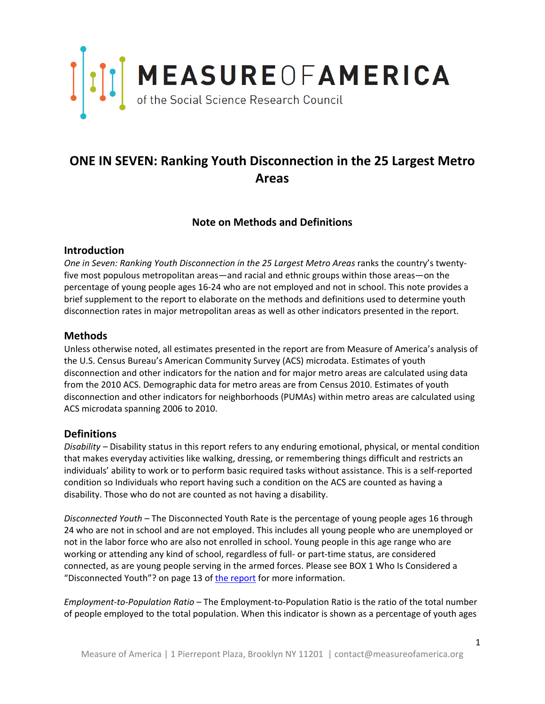

## **ONE IN SEVEN: Ranking Youth Disconnection in the 25 Largest Metro Areas**

### **Note on Methods and Definitions**

#### **Introduction**

*One in Seven: Ranking Youth Disconnection in the 25 Largest Metro Areas* ranks the country's twentyfive most populous metropolitan areas—and racial and ethnic groups within those areas—on the percentage of young people ages 16-24 who are not employed and not in school. This note provides a brief supplement to the report to elaborate on the methods and definitions used to determine youth disconnection rates in major metropolitan areas as well as other indicators presented in the report.

#### **Methods**

Unless otherwise noted, all estimates presented in the report are from Measure of America's analysis of the U.S. Census Bureau's American Community Survey (ACS) microdata. Estimates of youth disconnection and other indicators for the nation and for major metro areas are calculated using data from the 2010 ACS. Demographic data for metro areas are from Census 2010. Estimates of youth disconnection and other indicators for neighborhoods (PUMAs) within metro areas are calculated using ACS microdata spanning 2006 to 2010.

#### **Definitions**

*Disability –* Disability status in this report refers to any enduring emotional, physical, or mental condition that makes everyday activities like walking, dressing, or remembering things difficult and restricts an individuals' ability to work or to perform basic required tasks without assistance. This is a self-reported condition so Individuals who report having such a condition on the ACS are counted as having a disability. Those who do not are counted as not having a disability.

*Disconnected Youth –* The Disconnected Youth Rate is the percentage of young people ages 16 through 24 who are not in school and are not employed. This includes all young people who are unemployed or not in the labor force who are also not enrolled in school. Young people in this age range who are working or attending any kind of school, regardless of full- or part-time status, are considered connected, as are young people serving in the armed forces. Please see BOX 1 Who Is Considered a "Disconnected Youth"? on page 13 of [the report](http://www.measureofamerica.org/one-in-seven) for more information.

*Employment-to-Population Ratio* – The Employment-to-Population Ratio is the ratio of the total number of people employed to the total population. When this indicator is shown as a percentage of youth ages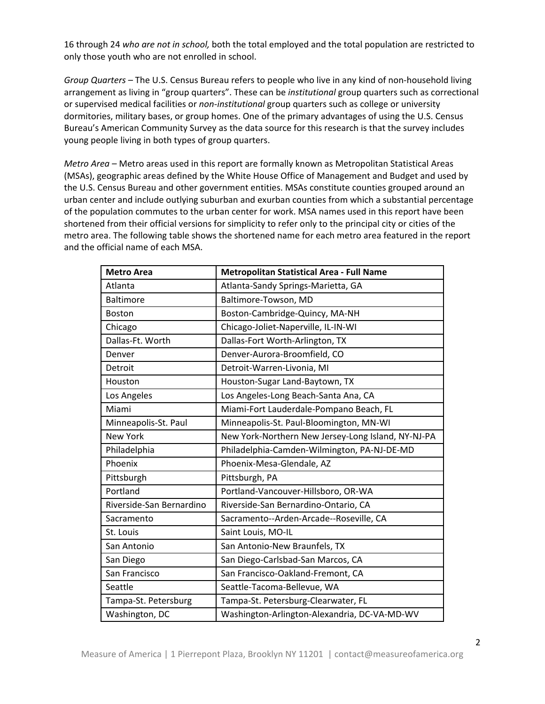16 through 24 *who are not in school,* both the total employed and the total population are restricted to only those youth who are not enrolled in school.

*Group Quarters –* The U.S. Census Bureau refers to people who live in any kind of non-household living arrangement as living in "group quarters". These can be *institutional* group quarters such as correctional or supervised medical facilities or *non-institutional* group quarters such as college or university dormitories, military bases, or group homes. One of the primary advantages of using the U.S. Census Bureau's American Community Survey as the data source for this research is that the survey includes young people living in both types of group quarters.

*Metro Area –* Metro areas used in this report are formally known as Metropolitan Statistical Areas (MSAs), geographic areas defined by the White House Office of Management and Budget and used by the U.S. Census Bureau and other government entities. MSAs constitute counties grouped around an urban center and include outlying suburban and exurban counties from which a substantial percentage of the population commutes to the urban center for work. MSA names used in this report have been shortened from their official versions for simplicity to refer only to the principal city or cities of the metro area. The following table shows the shortened name for each metro area featured in the report and the official name of each MSA.

| <b>Metro Area</b>        | <b>Metropolitan Statistical Area - Full Name</b>   |
|--------------------------|----------------------------------------------------|
| Atlanta                  | Atlanta-Sandy Springs-Marietta, GA                 |
| <b>Baltimore</b>         | Baltimore-Towson, MD                               |
| <b>Boston</b>            | Boston-Cambridge-Quincy, MA-NH                     |
| Chicago                  | Chicago-Joliet-Naperville, IL-IN-WI                |
| Dallas-Ft. Worth         | Dallas-Fort Worth-Arlington, TX                    |
| Denver                   | Denver-Aurora-Broomfield, CO                       |
| Detroit                  | Detroit-Warren-Livonia, MI                         |
| Houston                  | Houston-Sugar Land-Baytown, TX                     |
| Los Angeles              | Los Angeles-Long Beach-Santa Ana, CA               |
| Miami                    | Miami-Fort Lauderdale-Pompano Beach, FL            |
| Minneapolis-St. Paul     | Minneapolis-St. Paul-Bloomington, MN-WI            |
| <b>New York</b>          | New York-Northern New Jersey-Long Island, NY-NJ-PA |
| Philadelphia             | Philadelphia-Camden-Wilmington, PA-NJ-DE-MD        |
| Phoenix                  | Phoenix-Mesa-Glendale, AZ                          |
| Pittsburgh               | Pittsburgh, PA                                     |
| Portland                 | Portland-Vancouver-Hillsboro, OR-WA                |
| Riverside-San Bernardino | Riverside-San Bernardino-Ontario, CA               |
| Sacramento               | Sacramento--Arden-Arcade--Roseville, CA            |
| St. Louis                | Saint Louis, MO-IL                                 |
| San Antonio              | San Antonio-New Braunfels, TX                      |
| San Diego                | San Diego-Carlsbad-San Marcos, CA                  |
| San Francisco            | San Francisco-Oakland-Fremont, CA                  |
| Seattle                  | Seattle-Tacoma-Bellevue, WA                        |
| Tampa-St. Petersburg     | Tampa-St. Petersburg-Clearwater, FL                |
| Washington, DC           | Washington-Arlington-Alexandria, DC-VA-MD-WV       |